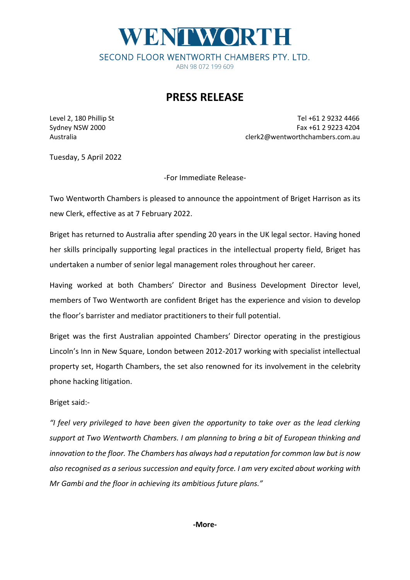## WENTWORTH SECOND FLOOR WENTWORTH CHAMBERS PTY. LTD.

ABN 98 072 199 609

## **PRESS RELEASE**

Level 2, 180 Phillip St Tel +61 2 9232 4466 Sydney NSW 2000 Fax +61 2 9223 4204 Australia clerk2@wentworthchambers.com.au

Tuesday, 5 April 2022

-For Immediate Release-

Two Wentworth Chambers is pleased to announce the appointment of Briget Harrison as its new Clerk, effective as at 7 February 2022.

Briget has returned to Australia after spending 20 years in the UK legal sector. Having honed her skills principally supporting legal practices in the intellectual property field, Briget has undertaken a number of senior legal management roles throughout her career.

Having worked at both Chambers' Director and Business Development Director level, members of Two Wentworth are confident Briget has the experience and vision to develop the floor's barrister and mediator practitioners to their full potential.

Briget was the first Australian appointed Chambers' Director operating in the prestigious Lincoln's Inn in New Square, London between 2012-2017 working with specialist intellectual property set, Hogarth Chambers, the set also renowned for its involvement in the celebrity phone hacking litigation.

Briget said:-

*"I feel very privileged to have been given the opportunity to take over as the lead clerking support at Two Wentworth Chambers. I am planning to bring a bit of European thinking and innovation to the floor. The Chambers has always had a reputation for common law but is now also recognised as a serious succession and equity force. I am very excited about working with Mr Gambi and the floor in achieving its ambitious future plans."*

**-More-**